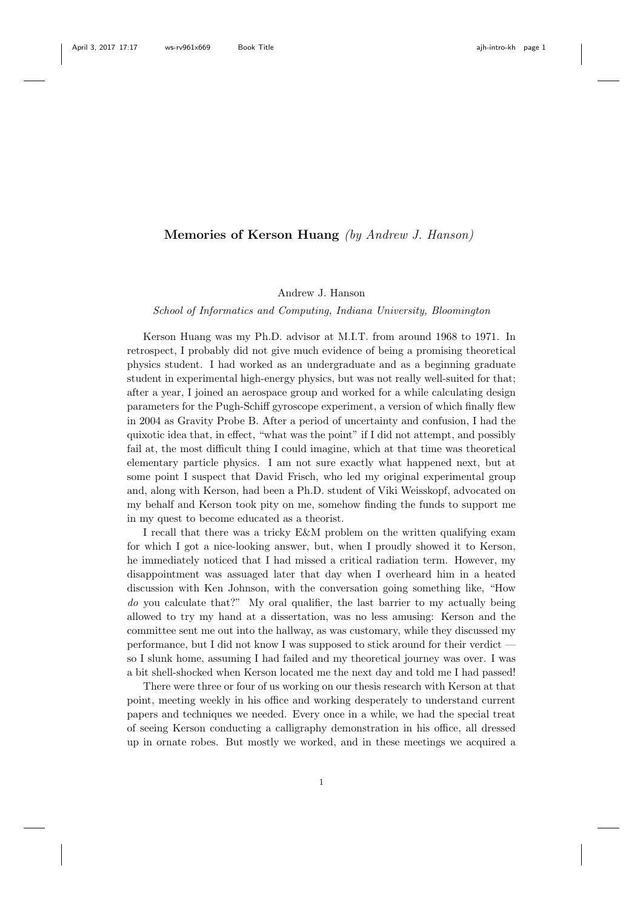## Memories of Kerson Huang (by Andrew J. Hanson)

Andrew J. Hanson

School of Informatics and Computing, Indiana University, Bloomington

Kerson Huang was my Ph.D. advisor at M.I.T. from around 1968 to 1971. In retrospect, I probably did not give much evidence of being a promising theoretical physics student. I had worked as an undergraduate and as a beginning graduate student in experimental high-energy physics, but was not really well-suited for that; after a year, I joined an aerospace group and worked for a while calculating design parameters for the Pugh-Schiff gyroscope experiment, a version of which finally flew in 2004 as Gravity Probe B. After a period of uncertainty and confusion, I had the quixotic idea that, in effect, "what was the point" if I did not attempt, and possibly fail at, the most difficult thing I could imagine, which at that time was theoretical elementary particle physics. I am not sure exactly what happened next, but at some point I suspect that David Frisch, who led my original experimental group and, along with Kerson, had been a Ph.D. student of Viki Weisskopf, advocated on my behalf and Kerson took pity on me, somehow finding the funds to support me in my quest to become educated as a theorist.

I recall that there was a tricky E&M problem on the written qualifying exam for which I got a nice-looking answer, but, when I proudly showed it to Kerson, he immediately noticed that I had missed a critical radiation term. However, my disappointment was assuaged later that day when I overheard him in a heated discussion with Ken Johnson, with the conversation going something like, "How do you calculate that?" My oral qualifier, the last barrier to my actually being allowed to try my hand at a dissertation, was no less amusing: Kerson and the committee sent me out into the hallway, as was customary, while they discussed my performance, but I did not know I was supposed to stick around for their verdict so I slunk home, assuming I had failed and my theoretical journey was over. I was a bit shell-shocked when Kerson located me the next day and told me I had passed!

There were three or four of us working on our thesis research with Kerson at that point, meeting weekly in his office and working desperately to understand current papers and techniques we needed. Every once in a while, we had the special treat of seeing Kerson conducting a calligraphy demonstration in his office, all dressed up in ornate robes. But mostly we worked, and in these meetings we acquired a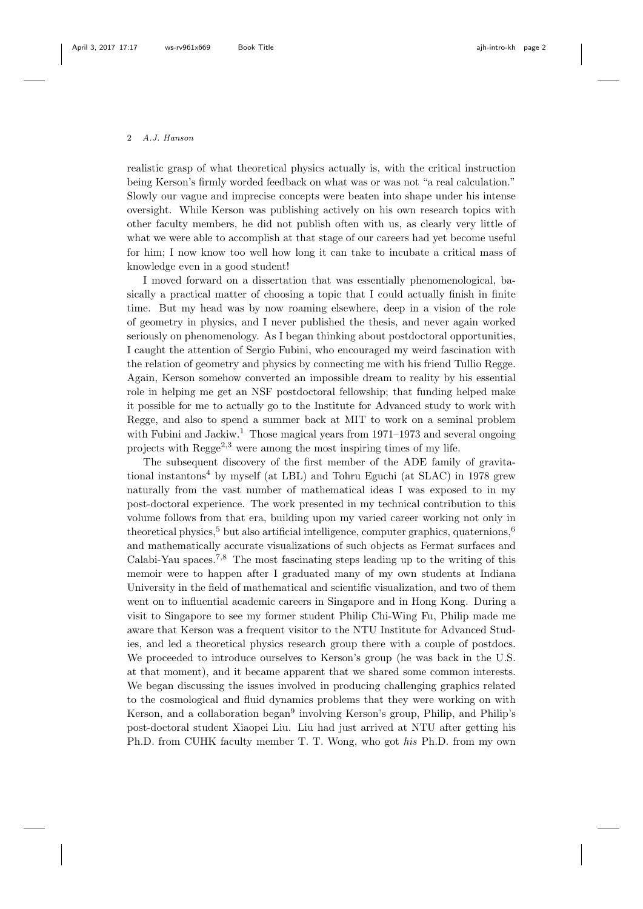## 2 A.J. Hanson

realistic grasp of what theoretical physics actually is, with the critical instruction being Kerson's firmly worded feedback on what was or was not "a real calculation." Slowly our vague and imprecise concepts were beaten into shape under his intense oversight. While Kerson was publishing actively on his own research topics with other faculty members, he did not publish often with us, as clearly very little of what we were able to accomplish at that stage of our careers had yet become useful for him; I now know too well how long it can take to incubate a critical mass of knowledge even in a good student!

I moved forward on a dissertation that was essentially phenomenological, basically a practical matter of choosing a topic that I could actually finish in finite time. But my head was by now roaming elsewhere, deep in a vision of the role of geometry in physics, and I never published the thesis, and never again worked seriously on phenomenology. As I began thinking about postdoctoral opportunities, I caught the attention of Sergio Fubini, who encouraged my weird fascination with the relation of geometry and physics by connecting me with his friend Tullio Regge. Again, Kerson somehow converted an impossible dream to reality by his essential role in helping me get an NSF postdoctoral fellowship; that funding helped make it possible for me to actually go to the Institute for Advanced study to work with Regge, and also to spend a summer back at MIT to work on a seminal problem with Fubini and Jackiw.<sup>1</sup> Those magical years from  $1971-1973$  and several ongoing projects with  $Regge^{2,3}$  were among the most inspiring times of my life.

The subsequent discovery of the first member of the ADE family of gravitational instantons<sup>4</sup> by myself (at LBL) and Tohru Eguchi (at SLAC) in 1978 grew naturally from the vast number of mathematical ideas I was exposed to in my post-doctoral experience. The work presented in my technical contribution to this volume follows from that era, building upon my varied career working not only in theoretical physics,<sup>5</sup> but also artificial intelligence, computer graphics, quaternions,<sup>6</sup> and mathematically accurate visualizations of such objects as Fermat surfaces and Calabi-Yau spaces.<sup>7,8</sup> The most fascinating steps leading up to the writing of this memoir were to happen after I graduated many of my own students at Indiana University in the field of mathematical and scientific visualization, and two of them went on to influential academic careers in Singapore and in Hong Kong. During a visit to Singapore to see my former student Philip Chi-Wing Fu, Philip made me aware that Kerson was a frequent visitor to the NTU Institute for Advanced Studies, and led a theoretical physics research group there with a couple of postdocs. We proceeded to introduce ourselves to Kerson's group (he was back in the U.S. at that moment), and it became apparent that we shared some common interests. We began discussing the issues involved in producing challenging graphics related to the cosmological and fluid dynamics problems that they were working on with Kerson, and a collaboration began<sup>9</sup> involving Kerson's group, Philip, and Philip's post-doctoral student Xiaopei Liu. Liu had just arrived at NTU after getting his Ph.D. from CUHK faculty member T. T. Wong, who got his Ph.D. from my own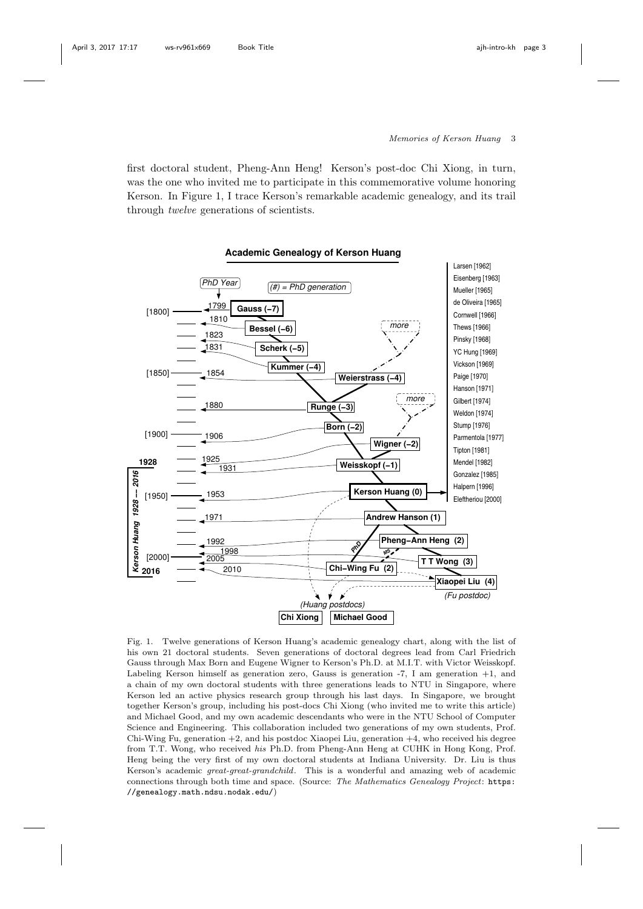## Memories of Kerson Huang 3

first doctoral student, Pheng-Ann Heng! Kerson's post-doc Chi Xiong, in turn, was the one who invited me to participate in this commemorative volume honoring Kerson. In Figure 1, I trace Kerson's remarkable academic genealogy, and its trail through twelve generations of scientists.



Fig. 1. Twelve generations of Kerson Huang's academic genealogy chart, along with the list of his own 21 doctoral students. Seven generations of doctoral degrees lead from Carl Friedrich Gauss through Max Born and Eugene Wigner to Kerson's Ph.D. at M.I.T. with Victor Weisskopf. Labeling Kerson himself as generation zero, Gauss is generation -7, I am generation +1, and a chain of my own doctoral students with three generations leads to NTU in Singapore, where Kerson led an active physics research group through his last days. In Singapore, we brought together Kerson's group, including his post-docs Chi Xiong (who invited me to write this article) and Michael Good, and my own academic descendants who were in the NTU School of Computer Science and Engineering. This collaboration included two generations of my own students, Prof. Chi-Wing Fu, generation  $+2$ , and his postdoc Xiaopei Liu, generation  $+4$ , who received his degree from T.T. Wong, who received his Ph.D. from Pheng-Ann Heng at CUHK in Hong Kong, Prof. Heng being the very first of my own doctoral students at Indiana University. Dr. Liu is thus Kerson's academic great-great-grandchild. This is a wonderful and amazing web of academic connections through both time and space. (Source: The Mathematics Genealogy Project: https: //genealogy.math.ndsu.nodak.edu/)